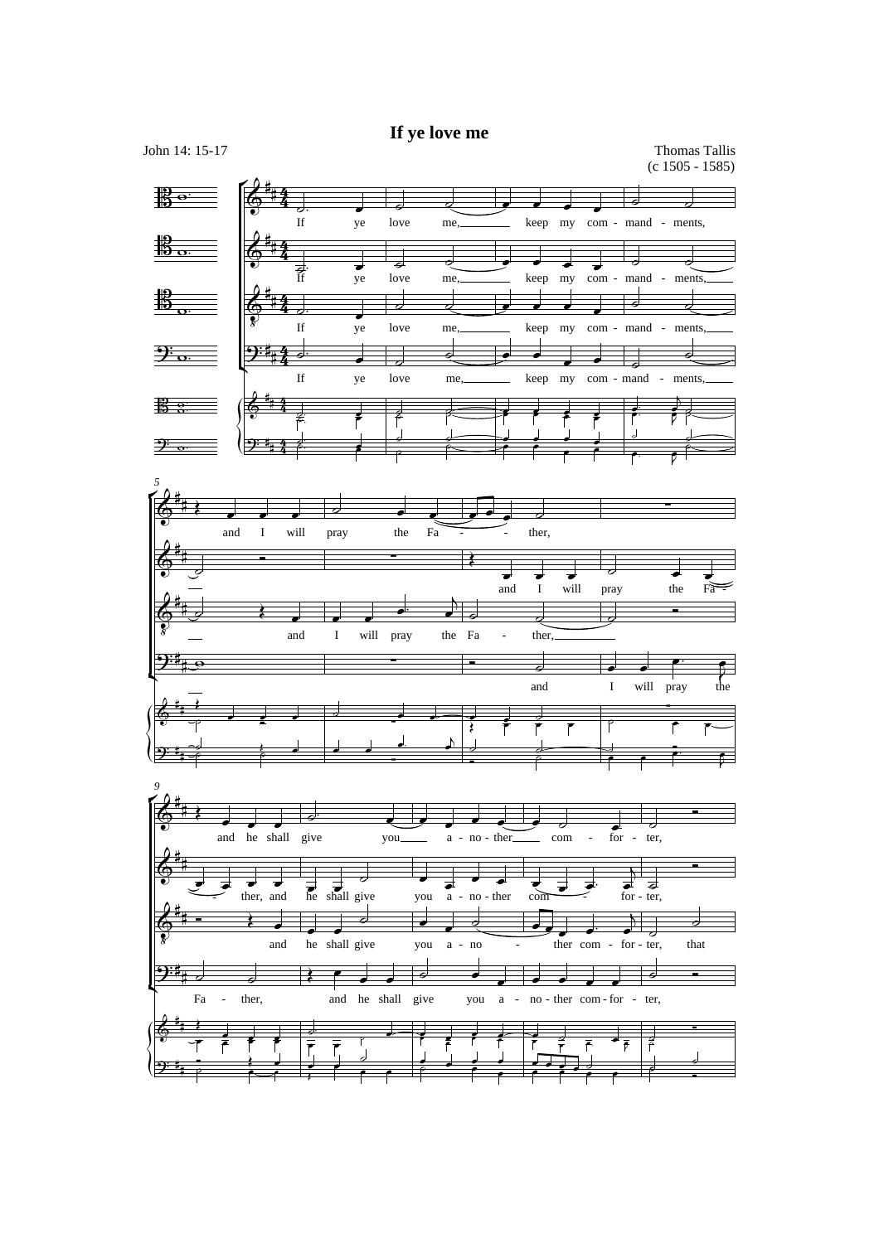## **If ye love me**

John 14: 15-17 Thomas Tallis (c 1505 - 1585)